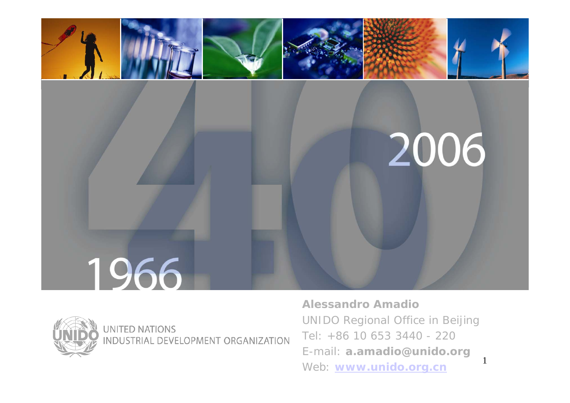



**UNITED NATIONS** INDUSTRIAL DEVELOPMENT ORGANIZATION **Alessandro Amadio**UNIDO Regional Office in Beijing Tel: +86 10 653 3440 - 220 E-mail: **a.amadio@unido.org** Web: **www.unido.org.cn**

1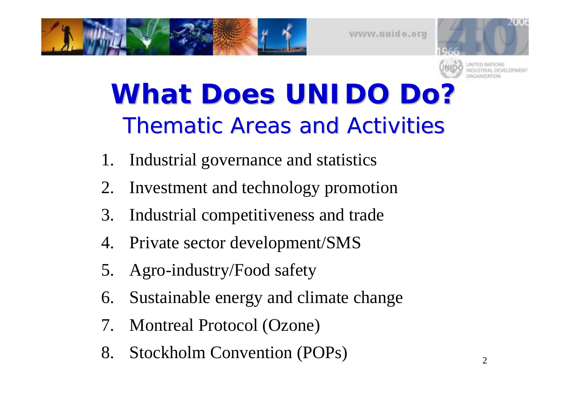



## **What Does UNIDO Do?** Thematic Areas and Activities

- 1. Industrial governance and statistics
- 2. Investment and technology promotion
- 3. Industrial competitiveness and trade
- 4. Private sector development/SMS
- 5. Agro-industry/Food safety
- 6. Sustainable energy and climate change
- 7. Montreal Protocol (Ozone)
- 8. Stockholm Convention (POPs)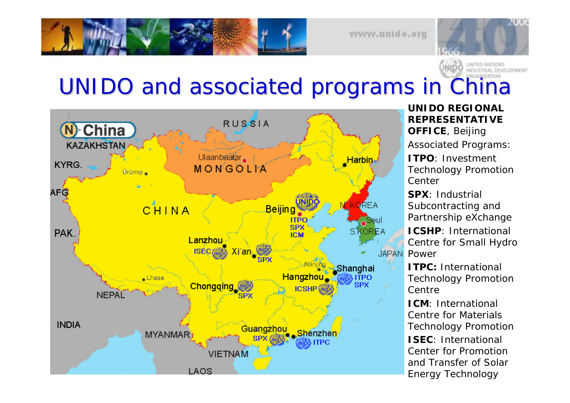#### UNIDO and associated programs in China



**REPRESENTATIVE OFFICE**, Beijing Associated P rograms: **ITPO**: Investment Technolog y Promo tion **Center** 

**UNIDO REGIONAL**

**SPX**: Industrial Subcontracting and Partnership e Xchang e

**ICSHP**: International Centre for Small Hydro Power

**ITPC:** International Technolog y Promo tion Centre

**ICM**: International Centre for Materials Technolog y Promo tion

3 and Transfer of Solar **ISEC**: International Center for Promotion Energy Technol ogy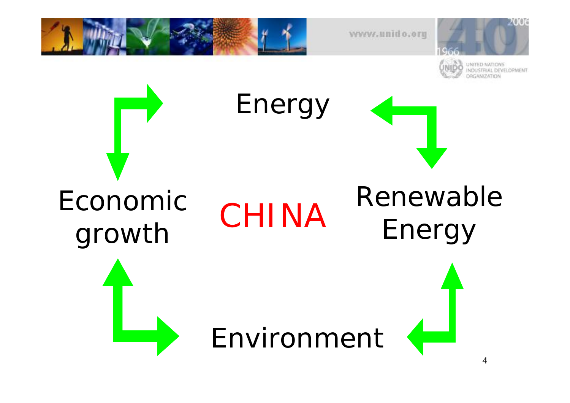

Economic growth CHINA

Energy

## Renewable Energy

Environment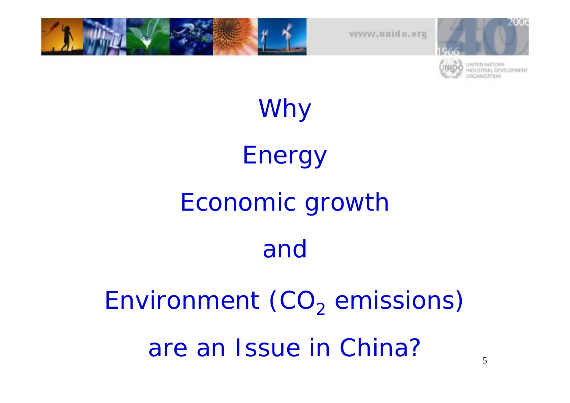



# Why Energy Economic growth and

Environment (CO $_2$  emissions) are an Issue in China?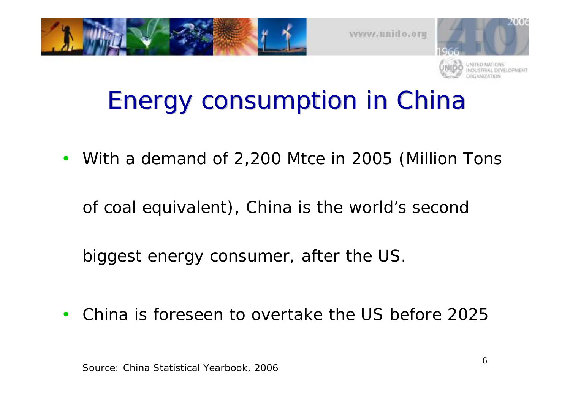





### Energy consumption in China Energy consumption in China

 $\bullet$ With a demand of 2,200 Mtce in 2005 (Million Tons

of coal equivalent), China is the world's second

biggest energy consumer, after the US.

 $\bullet$ China is foreseen to overtake the US before 2025

Source: China Statistical Yearbook, 2006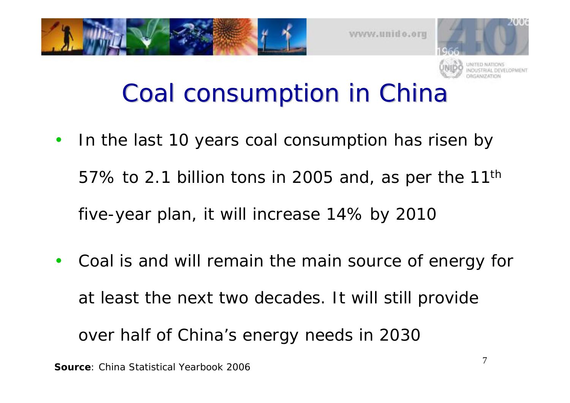





#### Coal consumption in China

- $\bullet$  In the last 10 years coal consumption has risen by 57% to 2.1 billion tons in 2005 and, as per the  $11<sup>th</sup>$ five-year plan, it will increase 14% by 2010
- • Coal is and will remain the main source of energy for at least the next two decades. It will still provide over half of China's energy needs in 2030

**Source**: China Statistical Yearbook 2006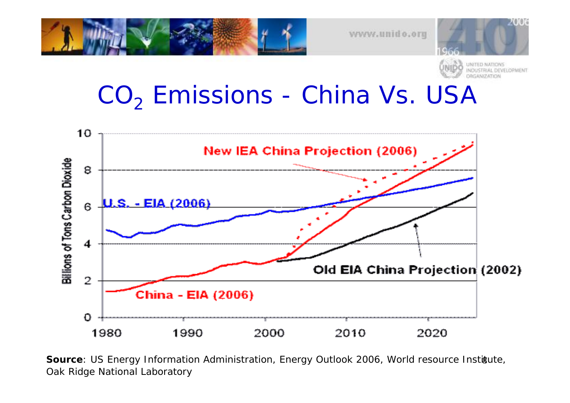

### CO<sub>2</sub> Emissions - China Vs. USA



**Source**: US Energy Information Administration, Energy Outlook 2006, World resource Institute, Oak Ridge National Laboratory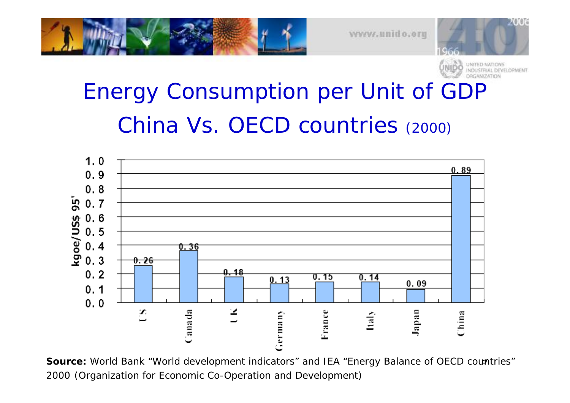



2006

#### Energy Consumption per Unit of GDP China Vs. OECD countries (2000)



Source: World Bank "World development indicators" and IEA "Energy Balance of OECD countries" 2000 (Organization for Economic Co-Operation and Development)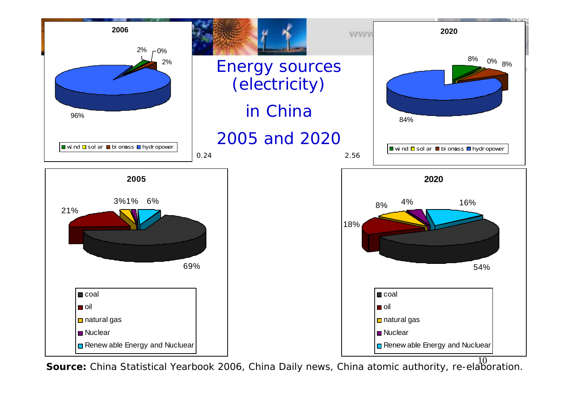

10 **Source:** China Statistical Yearbook 2006, China Daily news, China atomic authority, re-elaboration.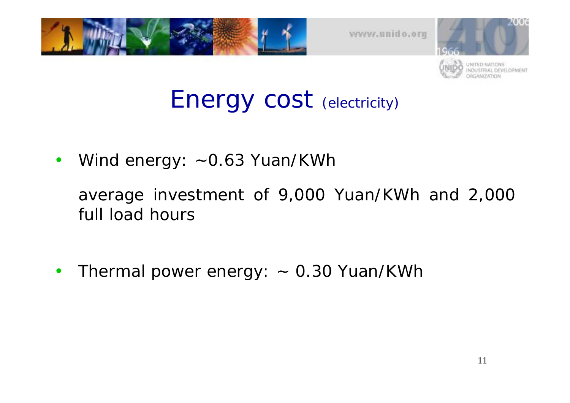



#### Energy cost (electricity)

 $\bullet$ Wind energy: ~0.63 Yuan/KWh

average investment of 9,000 Yuan/KWh and 2,000 full load hours

 $\bullet$ Thermal power energy: ~ 0.30 Yuan/KWh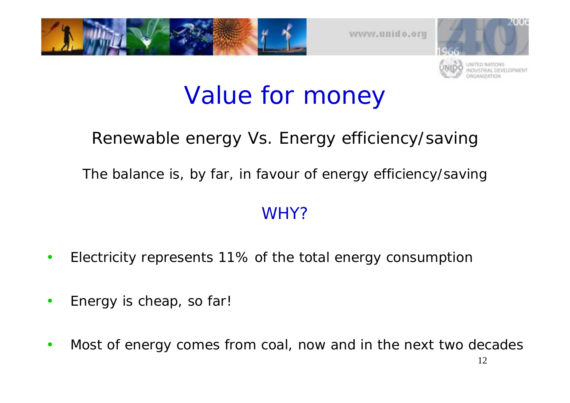



#### Value for money

#### Renewable energy Vs. Energy efficiency/saving

The balance is, by far, in favour of energy efficiency/saving

#### WHY?

- •Electricity represents 11% of the total energy consumption
- •Energy is cheap, so far!
- •Most of energy comes from coal, now and in the next two decades